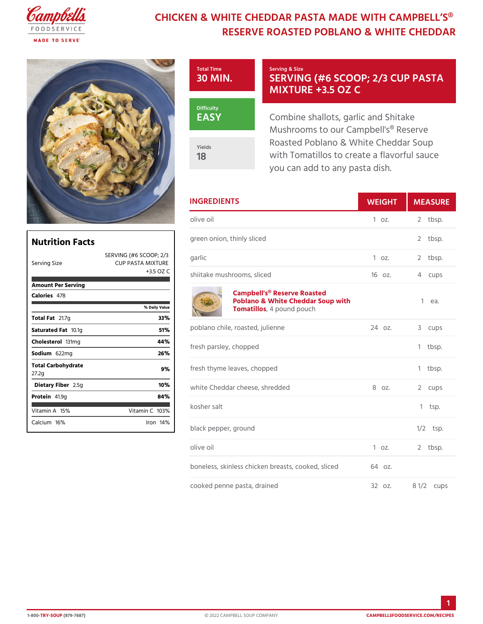## CHICKEN & WHITE CHEDDAR PASTA MADE RESERVE ROASTED POBLANO & W



## SERVING (#6 SCOOP; 2/ MIXTURE +3.5 OZ C

Combine shallots, garlic and Sh Mushrooms to our Campbell's® Roasted Poblano & White Chedd with Tomatillos to create a flav you can add to any pasta dish.

|                                   |                                                                        | <b>INGREDIENTS</b>                                                                                          | WEIGH  | MEASU                |
|-----------------------------------|------------------------------------------------------------------------|-------------------------------------------------------------------------------------------------------------|--------|----------------------|
|                                   |                                                                        | olive oil                                                                                                   | 1 oz.  | 2 tbsp.              |
| <b>Nutrition Facts</b>            |                                                                        | green onion, thinly sliced                                                                                  |        | 2 tbsp.              |
| Serving Size                      | SERVING (#62SS <sup>3</sup> OOP <sub>Garlic</sub><br>CUP PASTA MIXTURE |                                                                                                             | 1 oz.  | 2 tbsp.              |
|                                   |                                                                        | +3.5 OZ C shiitake mushrooms, sliced                                                                        | 16 oz. | 4 cups               |
| Amount Per Serving<br>Calorie4s78 | % Daily Value                                                          | Campbell's <sup>®</sup> Reserve Roasted<br>Poblano & White Cheddar Soup with 1 ea.<br>Tomatillespound pouch |        |                      |
| Total F21.7g                      | 33%                                                                    |                                                                                                             |        |                      |
| Saturated 1F0atiq                 | 51%                                                                    | poblano chile, roasted, julienne                                                                            | 24 oz. | 3 cups               |
| Cholestet 3l1 mg                  | 44%                                                                    | fresh parsley, chopped                                                                                      |        | 1 tbsp.              |
| Sodium622mg                       | 26%                                                                    |                                                                                                             |        |                      |
| Total Carbohydrate<br>27.2g       | 9%                                                                     | fresh thyme leaves, chopped                                                                                 |        | 1 tbsp.              |
| Dietary F2 b 5eg                  | 10%                                                                    | white Cheddar cheese, shredded                                                                              | 8 oz.  | 2 cups               |
| Protei41.9g                       | 84%                                                                    |                                                                                                             |        |                      |
| Vitamin145%                       | Vitamin 10 $3\%$                                                       | kosher salt                                                                                                 |        | $1$ tsp.             |
| Calcium6%                         | $l$ ron14 $%$                                                          | black pepper, ground                                                                                        |        | $1/2$ tsp.           |
|                                   |                                                                        | olive oil                                                                                                   | 1 oz.  | $2$ tbsp.            |
|                                   |                                                                        | boneless, skinless chicken breasts, 604ooked, sliced                                                        |        |                      |
|                                   |                                                                        | cooked penne pasta, drained                                                                                 | 32 oz. | $8 \frac{1}{2}$ cups |